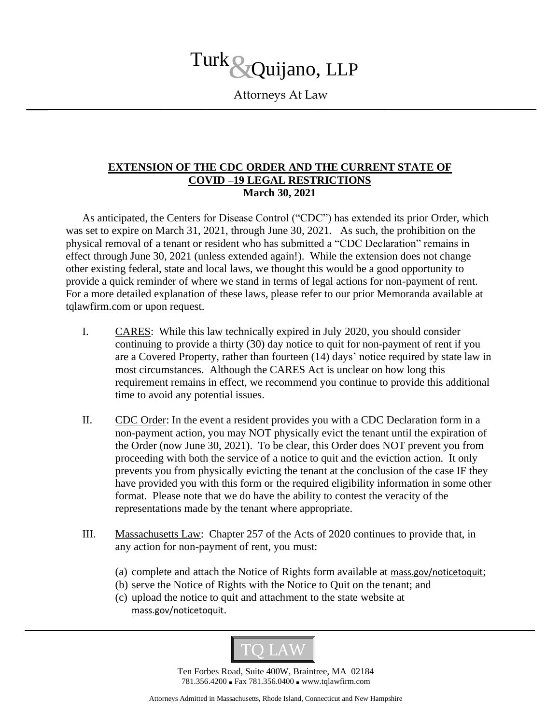## Turk & Quijano, LLP

Attorneys At Law

## **EXTENSION OF THE CDC ORDER AND THE CURRENT STATE OF COVID –19 LEGAL RESTRICTIONS March 30, 2021**

As anticipated, the Centers for Disease Control ("CDC") has extended its prior Order, which was set to expire on March 31, 2021, through June 30, 2021. As such, the prohibition on the physical removal of a tenant or resident who has submitted a "CDC Declaration" remains in effect through June 30, 2021 (unless extended again!). While the extension does not change other existing federal, state and local laws, we thought this would be a good opportunity to provide a quick reminder of where we stand in terms of legal actions for non-payment of rent. For a more detailed explanation of these laws, please refer to our prior Memoranda available at tqlawfirm.com or upon request.

- I. CARES: While this law technically expired in July 2020, you should consider continuing to provide a thirty (30) day notice to quit for non-payment of rent if you are a Covered Property, rather than fourteen (14) days' notice required by state law in most circumstances. Although the CARES Act is unclear on how long this requirement remains in effect, we recommend you continue to provide this additional time to avoid any potential issues.
- II. CDC Order: In the event a resident provides you with a CDC Declaration form in a non-payment action, you may NOT physically evict the tenant until the expiration of the Order (now June 30, 2021). To be clear, this Order does NOT prevent you from proceeding with both the service of a notice to quit and the eviction action. It only prevents you from physically evicting the tenant at the conclusion of the case IF they have provided you with this form or the required eligibility information in some other format. Please note that we do have the ability to contest the veracity of the representations made by the tenant where appropriate.
- III. Massachusetts Law: Chapter 257 of the Acts of 2020 continues to provide that, in any action for non-payment of rent, you must:
	- (a) complete and attach the Notice of Rights form available at [mass.gov/noticetoquit](https://masslandlords.us3.list-manage.com/track/click?u=622b0ea10796da66e1a08c943&id=6b84bb4480&e=5a1f68c48b);
	- (b) serve the Notice of Rights with the Notice to Quit on the tenant; and
	- (c) upload the notice to quit and attachment to the state website at [mass.gov/noticetoquit](https://masslandlords.us3.list-manage.com/track/click?u=622b0ea10796da66e1a08c943&id=6b84bb4480&e=5a1f68c48b).



Ten Forbes Road, Suite 400W, Braintree, MA 02184 781.356.4200 ■ Fax 781.356.0400 ■ www.tqlawfirm.com